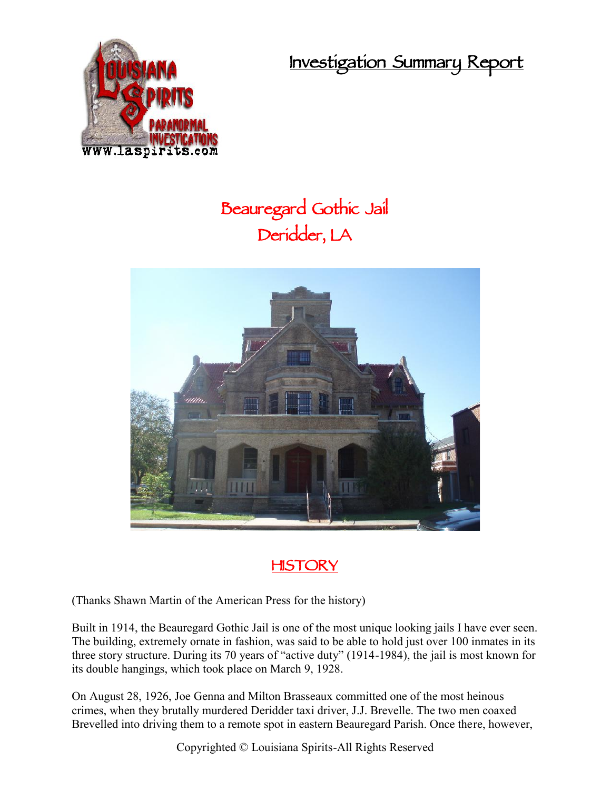**Investigation Summary Report**



## **Beauregard Gothic Jail Deridder, LA**





(Thanks Shawn Martin of the American Press for the history)

Built in 1914, the Beauregard Gothic Jail is one of the most unique looking jails I have ever seen. The building, extremely ornate in fashion, was said to be able to hold just over 100 inmates in its three story structure. During its 70 years of "active duty" (1914-1984), the jail is most known for its double hangings, which took place on March 9, 1928.

On August 28, 1926, Joe Genna and Milton Brasseaux committed one of the most heinous crimes, when they brutally murdered Deridder taxi driver, J.J. Brevelle. The two men coaxed Brevelled into driving them to a remote spot in eastern Beauregard Parish. Once there, however,

Copyrighted © Louisiana Spirits-All Rights Reserved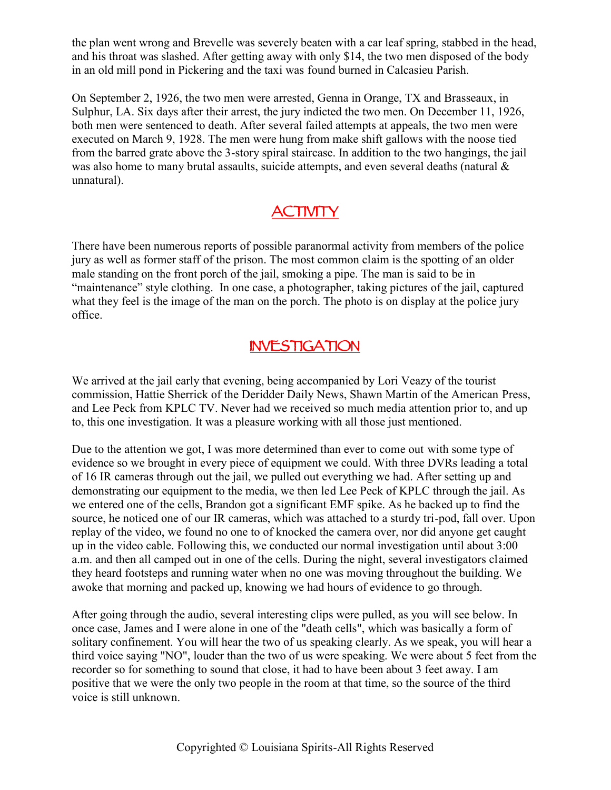the plan went wrong and Brevelle was severely beaten with a car leaf spring, stabbed in the head, and his throat was slashed. After getting away with only \$14, the two men disposed of the body in an old mill pond in Pickering and the taxi was found burned in Calcasieu Parish.

On September 2, 1926, the two men were arrested, Genna in Orange, TX and Brasseaux, in Sulphur, LA. Six days after their arrest, the jury indicted the two men. On December 11, 1926, both men were sentenced to death. After several failed attempts at appeals, the two men were executed on March 9, 1928. The men were hung from make shift gallows with the noose tied from the barred grate above the 3-story spiral staircase. In addition to the two hangings, the jail was also home to many brutal assaults, suicide attempts, and even several deaths (natural & unnatural).

## **ACTIVITY**

There have been numerous reports of possible paranormal activity from members of the police jury as well as former staff of the prison. The most common claim is the spotting of an older male standing on the front porch of the jail, smoking a pipe. The man is said to be in "maintenance" style clothing. In one case, a photographer, taking pictures of the jail, captured what they feel is the image of the man on the porch. The photo is on display at the police jury office.

## **INVESTIGATION**

We arrived at the jail early that evening, being accompanied by Lori Veazy of the tourist commission, Hattie Sherrick of the Deridder Daily News, Shawn Martin of the American Press, and Lee Peck from KPLC TV. Never had we received so much media attention prior to, and up to, this one investigation. It was a pleasure working with all those just mentioned.

Due to the attention we got, I was more determined than ever to come out with some type of evidence so we brought in every piece of equipment we could. With three DVRs leading a total of 16 IR cameras through out the jail, we pulled out everything we had. After setting up and demonstrating our equipment to the media, we then led Lee Peck of KPLC through the jail. As we entered one of the cells, Brandon got a significant EMF spike. As he backed up to find the source, he noticed one of our IR cameras, which was attached to a sturdy tri-pod, fall over. Upon replay of the video, we found no one to of knocked the camera over, nor did anyone get caught up in the video cable. Following this, we conducted our normal investigation until about 3:00 a.m. and then all camped out in one of the cells. During the night, several investigators claimed they heard footsteps and running water when no one was moving throughout the building. We awoke that morning and packed up, knowing we had hours of evidence to go through.

After going through the audio, several interesting clips were pulled, as you will see below. In once case, James and I were alone in one of the "death cells", which was basically a form of solitary confinement. You will hear the two of us speaking clearly. As we speak, you will hear a third voice saying "NO", louder than the two of us were speaking. We were about 5 feet from the recorder so for something to sound that close, it had to have been about 3 feet away. I am positive that we were the only two people in the room at that time, so the source of the third voice is still unknown.